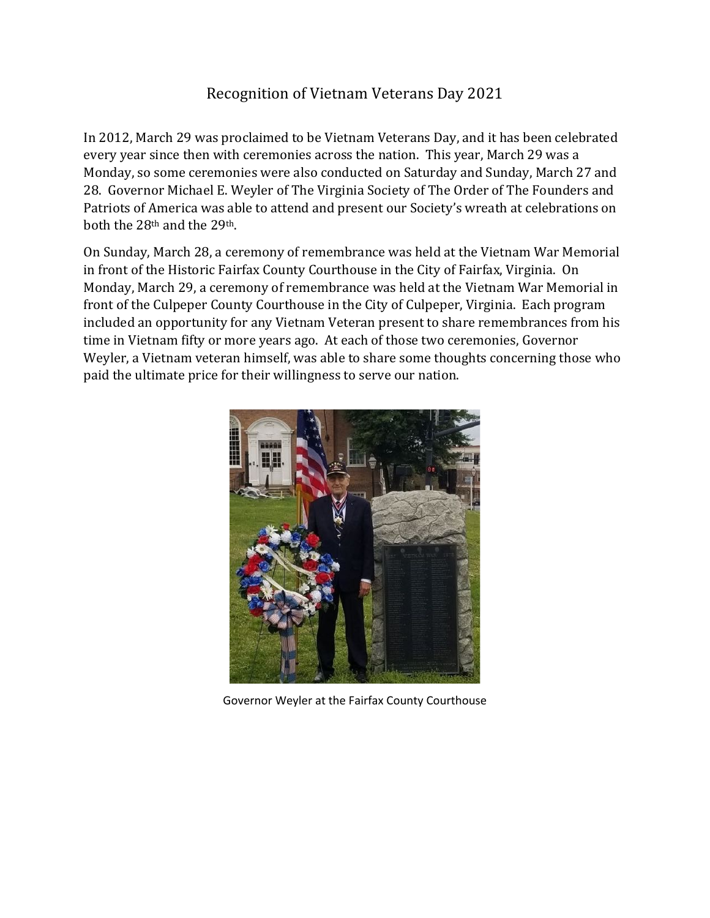## Recognition of Vietnam Veterans Day 2021

In 2012, March 29 was proclaimed to be Vietnam Veterans Day, and it has been celebrated every year since then with ceremonies across the nation. This year, March 29 was a Monday, so some ceremonies were also conducted on Saturday and Sunday, March 27 and 28. Governor Michael E. Weyler of The Virginia Society of The Order of The Founders and Patriots of America was able to attend and present our Society's wreath at celebrations on both the 28<sup>th</sup> and the 29<sup>th</sup>.

On Sunday, March 28, a ceremony of remembrance was held at the Vietnam War Memorial in front of the Historic Fairfax County Courthouse in the City of Fairfax, Virginia. On Monday, March 29, a ceremony of remembrance was held at the Vietnam War Memorial in front of the Culpeper County Courthouse in the City of Culpeper, Virginia. Each program included an opportunity for any Vietnam Veteran present to share remembrances from his time in Vietnam fifty or more years ago. At each of those two ceremonies, Governor Weyler, a Vietnam veteran himself, was able to share some thoughts concerning those who paid the ultimate price for their willingness to serve our nation.



Governor Weyler at the Fairfax County Courthouse